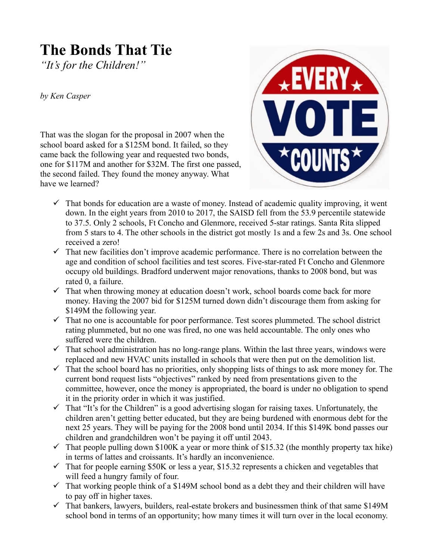## **The Bonds That Tie**

*"It's for the Children!"*

*by Ken Casper*

That was the slogan for the proposal in 2007 when the school board asked for a \$125M bond. It failed, so they came back the following year and requested two bonds, one for \$117M and another for \$32M. The first one passed, the second failed. They found the money anyway. What have we learned?



- $\checkmark$  That bonds for education are a waste of money. Instead of academic quality improving, it went down. In the eight years from 2010 to 2017, the SAISD fell from the 53.9 percentile statewide to 37.5. Only 2 schools, Ft Concho and Glenmore, received 5-star ratings. Santa Rita slipped from 5 stars to 4. The other schools in the district got mostly 1s and a few 2s and 3s. One school received a zero!
- $\checkmark$  That new facilities don't improve academic performance. There is no correlation between the age and condition of school facilities and test scores. Five-star-rated Ft Concho and Glenmore occupy old buildings. Bradford underwent major renovations, thanks to 2008 bond, but was rated 0, a failure.
- $\checkmark$  That when throwing money at education doesn't work, school boards come back for more money. Having the 2007 bid for \$125M turned down didn't discourage them from asking for \$149M the following year.
- $\checkmark$  That no one is accountable for poor performance. Test scores plummeted. The school district rating plummeted, but no one was fired, no one was held accountable. The only ones who suffered were the children.
- $\checkmark$  That school administration has no long-range plans. Within the last three years, windows were replaced and new HVAC units installed in schools that were then put on the demolition list.
- $\checkmark$  That the school board has no priorities, only shopping lists of things to ask more money for. The current bond request lists "objectives" ranked by need from presentations given to the committee, however, once the money is appropriated, the board is under no obligation to spend it in the priority order in which it was justified.
- $\checkmark$  That "It's for the Children" is a good advertising slogan for raising taxes. Unfortunately, the children aren't getting better educated, but they are being burdened with enormous debt for the next 25 years. They will be paying for the 2008 bond until 2034. If this \$149K bond passes our children and grandchildren won't be paying it off until 2043.
- $\checkmark$  That people pulling down \$100K a year or more think of \$15.32 (the monthly property tax hike) in terms of lattes and croissants. It's hardly an inconvenience.
- $\checkmark$  That for people earning \$50K or less a year, \$15.32 represents a chicken and vegetables that will feed a hungry family of four.
- $\checkmark$  That working people think of a \$149M school bond as a debt they and their children will have to pay off in higher taxes.
- $\checkmark$  That bankers, lawyers, builders, real-estate brokers and businessmen think of that same \$149M school bond in terms of an opportunity; how many times it will turn over in the local economy.